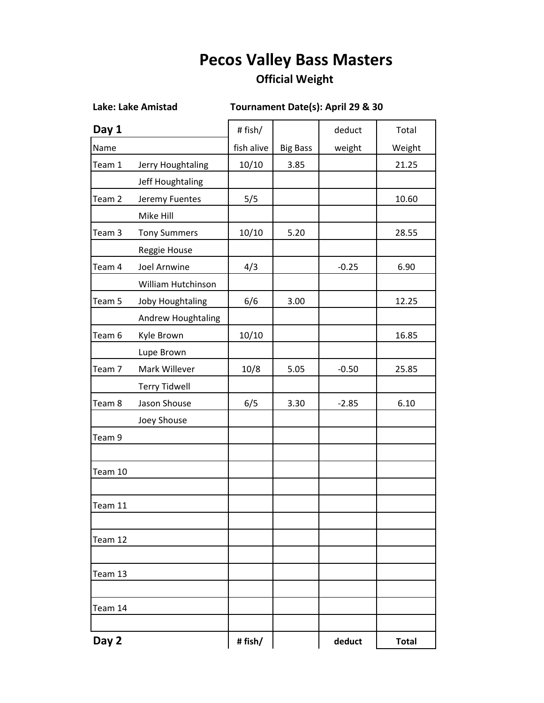## **Pecos Valley Bass Masters**

## **Official Weight**

**Lake: Lake Amistad Tournament Date(s): April 29 & 30** 

| Day 1             |                      | # fish/    |                 | deduct  | Total        |
|-------------------|----------------------|------------|-----------------|---------|--------------|
| Name              |                      | fish alive | <b>Big Bass</b> | weight  | Weight       |
| Team 1            | Jerry Houghtaling    | 10/10      | 3.85            |         | 21.25        |
|                   | Jeff Houghtaling     |            |                 |         |              |
| Team 2            | Jeremy Fuentes       | 5/5        |                 |         | 10.60        |
|                   | Mike Hill            |            |                 |         |              |
| Team 3            | <b>Tony Summers</b>  | 10/10      | 5.20            |         | 28.55        |
|                   | Reggie House         |            |                 |         |              |
| Team 4            | Joel Arnwine         | 4/3        |                 | $-0.25$ | 6.90         |
|                   | William Hutchinson   |            |                 |         |              |
| Team 5            | Joby Houghtaling     | 6/6        | 3.00            |         | 12.25        |
|                   | Andrew Houghtaling   |            |                 |         |              |
| Team 6            | Kyle Brown           | 10/10      |                 |         | 16.85        |
|                   | Lupe Brown           |            |                 |         |              |
| Team <sub>7</sub> | Mark Willever        | 10/8       | 5.05            | $-0.50$ | 25.85        |
|                   | <b>Terry Tidwell</b> |            |                 |         |              |
| Team 8            | Jason Shouse         | 6/5        | 3.30            | $-2.85$ | 6.10         |
|                   | Joey Shouse          |            |                 |         |              |
| Team 9            |                      |            |                 |         |              |
|                   |                      |            |                 |         |              |
| Team 10           |                      |            |                 |         |              |
| Team 11           |                      |            |                 |         |              |
|                   |                      |            |                 |         |              |
| Team 12           |                      |            |                 |         |              |
|                   |                      |            |                 |         |              |
| Team 13           |                      |            |                 |         |              |
| Team 14           |                      |            |                 |         |              |
| Day 2             |                      | #fish/     |                 | deduct  | <b>Total</b> |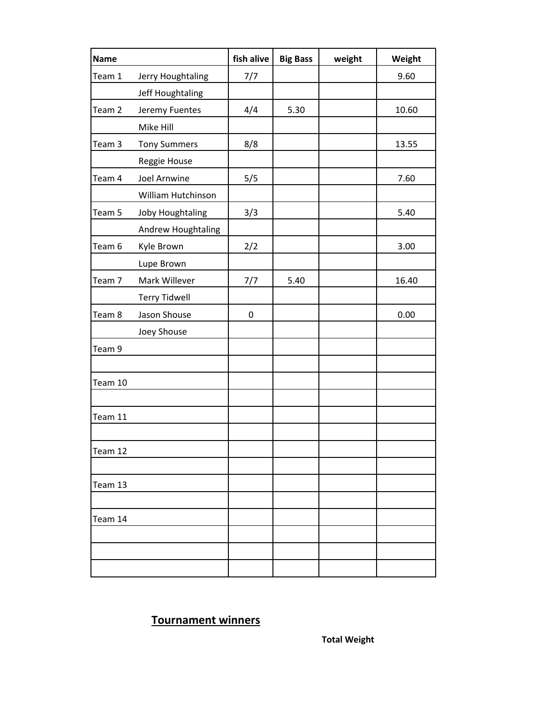| <b>Name</b> |                      | fish alive       | <b>Big Bass</b> | weight | Weight |
|-------------|----------------------|------------------|-----------------|--------|--------|
| Team 1      | Jerry Houghtaling    | 7/7              |                 |        | 9.60   |
|             | Jeff Houghtaling     |                  |                 |        |        |
| Team 2      | Jeremy Fuentes       | 4/4              | 5.30            |        | 10.60  |
|             | Mike Hill            |                  |                 |        |        |
| Team 3      | <b>Tony Summers</b>  | 8/8              |                 |        | 13.55  |
|             | Reggie House         |                  |                 |        |        |
| Team 4      | <b>Joel Arnwine</b>  | 5/5              |                 |        | 7.60   |
|             | William Hutchinson   |                  |                 |        |        |
| Team 5      | Joby Houghtaling     | 3/3              |                 |        | 5.40   |
|             | Andrew Houghtaling   |                  |                 |        |        |
| Team 6      | Kyle Brown           | 2/2              |                 |        | 3.00   |
|             | Lupe Brown           |                  |                 |        |        |
| Team 7      | Mark Willever        | 7/7              | 5.40            |        | 16.40  |
|             | <b>Terry Tidwell</b> |                  |                 |        |        |
| Team 8      | Jason Shouse         | $\boldsymbol{0}$ |                 |        | 0.00   |
|             | Joey Shouse          |                  |                 |        |        |
| Team 9      |                      |                  |                 |        |        |
|             |                      |                  |                 |        |        |
| Team 10     |                      |                  |                 |        |        |
|             |                      |                  |                 |        |        |
| Team 11     |                      |                  |                 |        |        |
|             |                      |                  |                 |        |        |
| Team 12     |                      |                  |                 |        |        |
|             |                      |                  |                 |        |        |
| Team 13     |                      |                  |                 |        |        |
|             |                      |                  |                 |        |        |
| Team 14     |                      |                  |                 |        |        |
|             |                      |                  |                 |        |        |
|             |                      |                  |                 |        |        |
|             |                      |                  |                 |        |        |

## **Tournament winners**